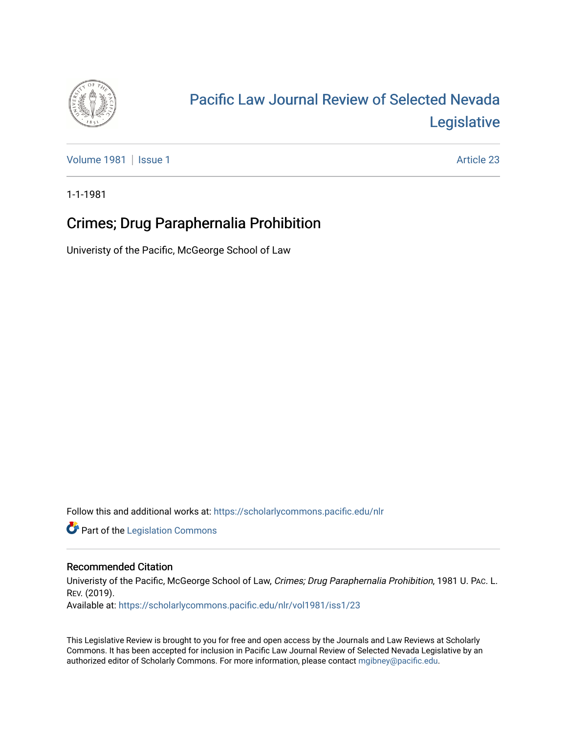

# [Pacific Law Journal Review of Selected Nevada](https://scholarlycommons.pacific.edu/nlr)  [Legislative](https://scholarlycommons.pacific.edu/nlr)

[Volume 1981](https://scholarlycommons.pacific.edu/nlr/vol1981) | [Issue 1](https://scholarlycommons.pacific.edu/nlr/vol1981/iss1) Article 23

1-1-1981

## Crimes; Drug Paraphernalia Prohibition

Univeristy of the Pacific, McGeorge School of Law

Follow this and additional works at: [https://scholarlycommons.pacific.edu/nlr](https://scholarlycommons.pacific.edu/nlr?utm_source=scholarlycommons.pacific.edu%2Fnlr%2Fvol1981%2Fiss1%2F23&utm_medium=PDF&utm_campaign=PDFCoverPages) 

**Part of the [Legislation Commons](http://network.bepress.com/hgg/discipline/859?utm_source=scholarlycommons.pacific.edu%2Fnlr%2Fvol1981%2Fiss1%2F23&utm_medium=PDF&utm_campaign=PDFCoverPages)** 

### Recommended Citation

Univeristy of the Pacific, McGeorge School of Law, Crimes; Drug Paraphernalia Prohibition, 1981 U. PAc. L. REV. (2019).

Available at: [https://scholarlycommons.pacific.edu/nlr/vol1981/iss1/23](https://scholarlycommons.pacific.edu/nlr/vol1981/iss1/23?utm_source=scholarlycommons.pacific.edu%2Fnlr%2Fvol1981%2Fiss1%2F23&utm_medium=PDF&utm_campaign=PDFCoverPages)

This Legislative Review is brought to you for free and open access by the Journals and Law Reviews at Scholarly Commons. It has been accepted for inclusion in Pacific Law Journal Review of Selected Nevada Legislative by an authorized editor of Scholarly Commons. For more information, please contact [mgibney@pacific.edu](mailto:mgibney@pacific.edu).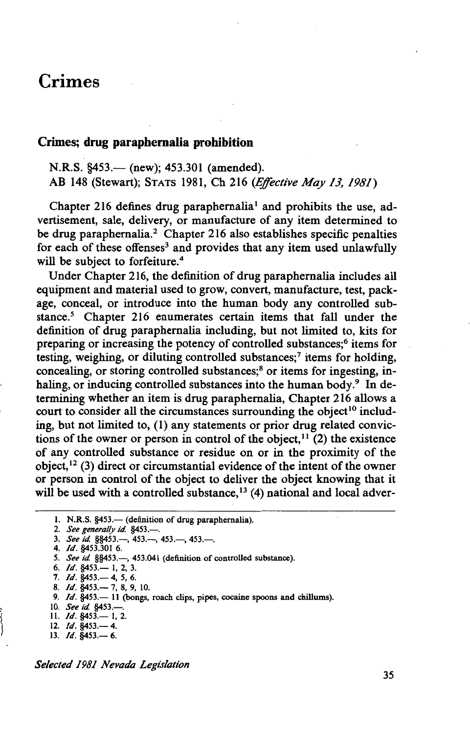### Crimes

### Crimes; drug paraphernalia prohibition

N.R.S. §453.— (new); 453.301 (amended). AB 148 (Stewart); STATS 1981, Ch 216 *(Effective May 13, 1981)* 

Chapter 216 defines drug paraphernalia<sup>1</sup> and prohibits the use, advertisement, sale, delivery, or manufacture of any item determined to be drug paraphernalia.<sup>2</sup> Chapter 216 also establishes specific penalties for each of these offenses<sup>3</sup> and provides that any item used unlawfully will be subject to forfeiture.<sup>4</sup>

Under Chapter 216, the definition of drug paraphernalia includes all equipment and material used to grow, convert, manufacture, test, package, conceal, or introduce into the human body any controlled substance.<sup>5</sup> Chapter 216 enumerates certain items that fall under the definition of drug paraphernalia including, but not limited to, kits for preparing or increasing the potency of controlled substances;<sup>6</sup> items for testing, weighing, or diluting controlled substances;<sup>7</sup> items for holding, concealing, or storing controlled substances;<sup>8</sup> or items for ingesting, inhaling, or inducing controlled substances into the human body.<sup>9</sup> In determining whether an item is drug paraphernalia, Chapter 216 allows a court to consider all the circumstances surrounding the object<sup>10</sup> including, but not limited to, (1) any statements or prior drug related convictions of the owner or person in control of the object,  $11$  (2) the existence of any controlled substance or residue on or in the proximity of the object,  $^{12}$  (3) direct or circumstantial evidence of the intent of the owner or person in control of the object to deliver the object knowing that it will be used with a controlled substance,  $^{13}$  (4) national and local adver-

7. */d.* §453.- 4, *5,* 6.

8. */d.* §453.- 7, 8, 9, 10.

- 10. *See id.* §453.-
- 11. *Id.* §453.— 1, 2.
- 12. *Id.* §453.— 4. 13.  $Id.$  §453. - 6.

*Selected 1981 Nevada Legislation* 

<sup>1.</sup> N.R.S. §453. - (definition of drug paraphernalia).

<sup>2.</sup> *See generally id.* §453.-

<sup>3.</sup> *See id.* §§453.—, 453.—, 453.—, 453.—,

<sup>4.</sup> */d.* §453.301 6.

<sup>5.</sup> See id. §§453.-, 453.041 (definition of controlled substance).

<sup>6.</sup> */d.* §453.- I, 2, 3.

<sup>9.</sup> *Id.* §453.- 11 (bongs, roach clips, pipes, cocaine spoons and chillums).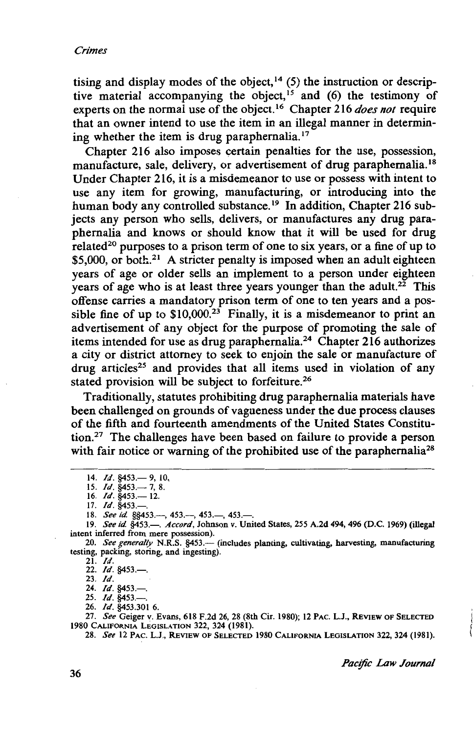tising and display modes of the object,<sup>14</sup> (5) the instruction or descriptive material accompanying the object,<sup>15</sup> and (6) the testimony of experts on the normal use of the object. 16 Chapter 216 *does not* require that an owner intend to use the item in an illegal manner in determining whether the item is drug paraphernalia.<sup>17</sup>

Chapter 216 also imposes certain penalties for the use, possession, manufacture, sale, delivery, or advertisement of drug paraphernalia. 18 Under Chapter 216, it is a misdemeanor to use or possess with intent to use any item for growing, manufacturing, or introducing into the human body any controlled substance.<sup>19</sup> In addition, Chapter 216 subjects any person who sells, delivers, or manufactures any drug paraphernalia and knows or should know that it will be used for drug related<sup>20</sup> purposes to a prison term of one to six years, or a fine of up to  $$5,000$ , or both.<sup>21</sup> A stricter penalty is imposed when an adult eighteen years of age or older sells an implement to a person under eighteen years of age who is at least three years younger than the adult.<sup>22</sup> This offense carries a mandatory prison term of one to ten years and a possible fine of up to  $$10,000<sup>23</sup>$  Finally, it is a misdemeanor to print an advertisement of any object for the purpose of promoting the sale of items intended for use as drug paraphernalia. 24 Chapter 216 authorizes a city or district attorney to seek to enjoin the sale or manufacture of drug articles<sup>25</sup> and provides that all items used in violation of any stated provision will be subject to forfeiture.<sup>26</sup>

Traditionally, statutes prohibiting drug paraphernalia materials have been challenged on grounds of vagueness under the due process clauses of the fifth and fourteenth amendments of the United States Constitution.<sup>27</sup> The challenges have been based on failure to provide a person with fair notice or warning of the prohibited use of the paraphernalia<sup>28</sup>

21. *Id.* 

22. *Id.* §453.-23. *Id.* 

24. *Id.* §453.— 25. *Id.* §453.-

26. *Id.* §453.301 6.

27. *See* Geiger v. Evans, 618 F.2d 26, 28 (8th Cir. 1980); 12 PAC. L.J., REVIEW OF SELECTED 1980 CALIFORNIA LEGISLATION 322, 324 (1981).

28. *See* 12 PAC. L.J., REVIEW OF SELECTED 1980 CALIFORNIA LEGISLATION 322, 324 (1981).

*Pacific Law Journal* 

<sup>14.</sup> *Id.* §453.— 9, 10

<sup>15.</sup> *Id.* §453.— 7, 8.

<sup>16.</sup> *Id.* §453.— 12.

<sup>17.</sup> *Id.* §453.-

<sup>18.</sup> *See id.* §§453.---, 453.---, 453.---, 453.--

<sup>19.</sup> *See id.* §453.- *Accord*, Johnson v. United States, 255 A.2d 494, 496 (D.C. 1969) (illegal intent inferred from mere possession).

<sup>20.</sup> See generally N.R.S. §453.- (includes planting, cultivating, harvesting, manufacturing testing, packing, storing, and ingesting).